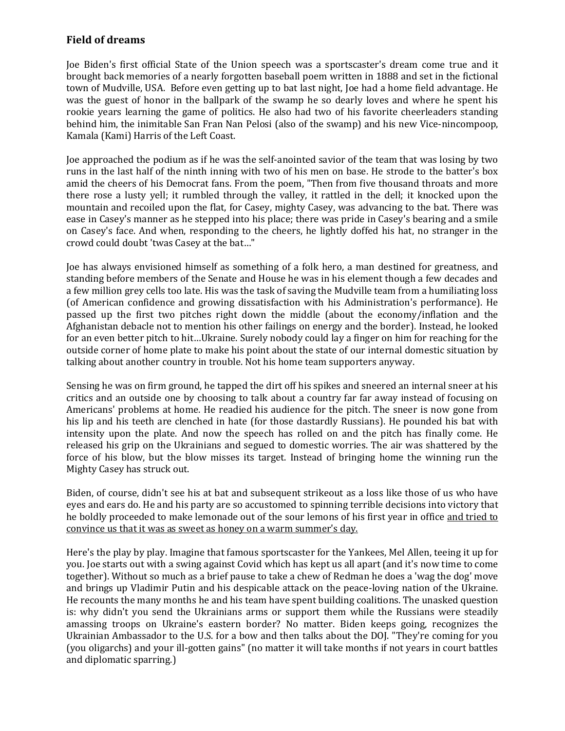## **Field of dreams**

Joe Biden's first official State of the Union speech was a sportscaster's dream come true and it brought back memories of a nearly forgotten baseball poem written in 1888 and set in the fictional town of Mudville, USA. Before even getting up to bat last night, Joe had a home field advantage. He was the guest of honor in the ballpark of the swamp he so dearly loves and where he spent his rookie years learning the game of politics. He also had two of his favorite cheerleaders standing behind him, the inimitable San Fran Nan Pelosi (also of the swamp) and his new Vice-nincompoop, Kamala (Kami) Harris of the Left Coast.

Joe approached the podium as if he was the self-anointed savior of the team that was losing by two runs in the last half of the ninth inning with two of his men on base. He strode to the batter's box amid the cheers of his Democrat fans. From the poem, "Then from five thousand throats and more there rose a lusty yell; it rumbled through the valley, it rattled in the dell; it knocked upon the mountain and recoiled upon the flat, for Casey, mighty Casey, was advancing to the bat. There was ease in Casey's manner as he stepped into his place; there was pride in Casey's bearing and a smile on Casey's face. And when, responding to the cheers, he lightly doffed his hat, no stranger in the crowd could doubt 'twas Casey at the bat…"

Joe has always envisioned himself as something of a folk hero, a man destined for greatness, and standing before members of the Senate and House he was in his element though a few decades and a few million grey cells too late. His was the task of saving the Mudville team from a humiliating loss (of American confidence and growing dissatisfaction with his Administration's performance). He passed up the first two pitches right down the middle (about the economy/inflation and the Afghanistan debacle not to mention his other failings on energy and the border). Instead, he looked for an even better pitch to hit…Ukraine. Surely nobody could lay a finger on him for reaching for the outside corner of home plate to make his point about the state of our internal domestic situation by talking about another country in trouble. Not his home team supporters anyway.

Sensing he was on firm ground, he tapped the dirt off his spikes and sneered an internal sneer at his critics and an outside one by choosing to talk about a country far far away instead of focusing on Americans' problems at home. He readied his audience for the pitch. The sneer is now gone from his lip and his teeth are clenched in hate (for those dastardly Russians). He pounded his bat with intensity upon the plate. And now the speech has rolled on and the pitch has finally come. He released his grip on the Ukrainians and segued to domestic worries. The air was shattered by the force of his blow, but the blow misses its target. Instead of bringing home the winning run the Mighty Casey has struck out.

Biden, of course, didn't see his at bat and subsequent strikeout as a loss like those of us who have eyes and ears do. He and his party are so accustomed to spinning terrible decisions into victory that he boldly proceeded to make lemonade out of the sour lemons of his first year in office and tried to convince us that it was as sweet as honey on a warm summer's day.

Here's the play by play. Imagine that famous sportscaster for the Yankees, Mel Allen, teeing it up for you. Joe starts out with a swing against Covid which has kept us all apart (and it's now time to come together). Without so much as a brief pause to take a chew of Redman he does a 'wag the dog' move and brings up Vladimir Putin and his despicable attack on the peace-loving nation of the Ukraine. He recounts the many months he and his team have spent building coalitions. The unasked question is: why didn't you send the Ukrainians arms or support them while the Russians were steadily amassing troops on Ukraine's eastern border? No matter. Biden keeps going, recognizes the Ukrainian Ambassador to the U.S. for a bow and then talks about the DOJ. "They're coming for you (you oligarchs) and your ill-gotten gains" (no matter it will take months if not years in court battles and diplomatic sparring.)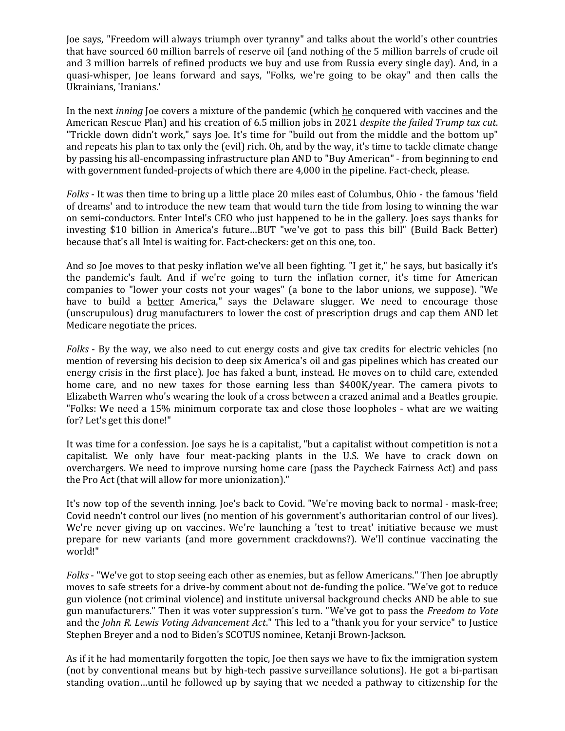Joe says, "Freedom will always triumph over tyranny" and talks about the world's other countries that have sourced 60 million barrels of reserve oil (and nothing of the 5 million barrels of crude oil and 3 million barrels of refined products we buy and use from Russia every single day). And, in a quasi-whisper, Joe leans forward and says, "Folks, we're going to be okay" and then calls the Ukrainians, 'Iranians.'

In the next *inning* Joe covers a mixture of the pandemic (which he conquered with vaccines and the American Rescue Plan) and his creation of 6.5 million jobs in 2021 *despite the failed Trump tax cut*. "Trickle down didn't work," says Joe. It's time for "build out from the middle and the bottom up" and repeats his plan to tax only the (evil) rich. Oh, and by the way, it's time to tackle climate change by passing his all-encompassing infrastructure plan AND to "Buy American" - from beginning to end with government funded-projects of which there are 4,000 in the pipeline. Fact-check, please.

*Folks* - It was then time to bring up a little place 20 miles east of Columbus, Ohio - the famous 'field of dreams' and to introduce the new team that would turn the tide from losing to winning the war on semi-conductors. Enter Intel's CEO who just happened to be in the gallery. Joes says thanks for investing \$10 billion in America's future…BUT "we've got to pass this bill" (Build Back Better) because that's all Intel is waiting for. Fact-checkers: get on this one, too.

And so Joe moves to that pesky inflation we've all been fighting. "I get it," he says, but basically it's the pandemic's fault. And if we're going to turn the inflation corner, it's time for American companies to "lower your costs not your wages" (a bone to the labor unions, we suppose). "We have to build a **better** America," says the Delaware slugger. We need to encourage those (unscrupulous) drug manufacturers to lower the cost of prescription drugs and cap them AND let Medicare negotiate the prices.

*Folks* - By the way, we also need to cut energy costs and give tax credits for electric vehicles (no mention of reversing his decision to deep six America's oil and gas pipelines which has created our energy crisis in the first place). Joe has faked a bunt, instead. He moves on to child care, extended home care, and no new taxes for those earning less than \$400K/year. The camera pivots to Elizabeth Warren who's wearing the look of a cross between a crazed animal and a Beatles groupie. "Folks: We need a 15% minimum corporate tax and close those loopholes - what are we waiting for? Let's get this done!"

It was time for a confession. Joe says he is a capitalist, "but a capitalist without competition is not a capitalist. We only have four meat-packing plants in the U.S. We have to crack down on overchargers. We need to improve nursing home care (pass the Paycheck Fairness Act) and pass the Pro Act (that will allow for more unionization)."

It's now top of the seventh inning. Joe's back to Covid. "We're moving back to normal - mask-free; Covid needn't control our lives (no mention of his government's authoritarian control of our lives). We're never giving up on vaccines. We're launching a 'test to treat' initiative because we must prepare for new variants (and more government crackdowns?). We'll continue vaccinating the world!"

*Folks* - "We've got to stop seeing each other as enemies, but as fellow Americans." Then Joe abruptly moves to safe streets for a drive-by comment about not de-funding the police. "We've got to reduce gun violence (not criminal violence) and institute universal background checks AND be able to sue gun manufacturers." Then it was voter suppression's turn. "We've got to pass the *Freedom to Vote* and the *John R. Lewis Voting Advancement Act*." This led to a "thank you for your service" to Justice Stephen Breyer and a nod to Biden's SCOTUS nominee, Ketanji Brown-Jackson.

As if it he had momentarily forgotten the topic, Joe then says we have to fix the immigration system (not by conventional means but by high-tech passive surveillance solutions). He got a bi-partisan standing ovation…until he followed up by saying that we needed a pathway to citizenship for the